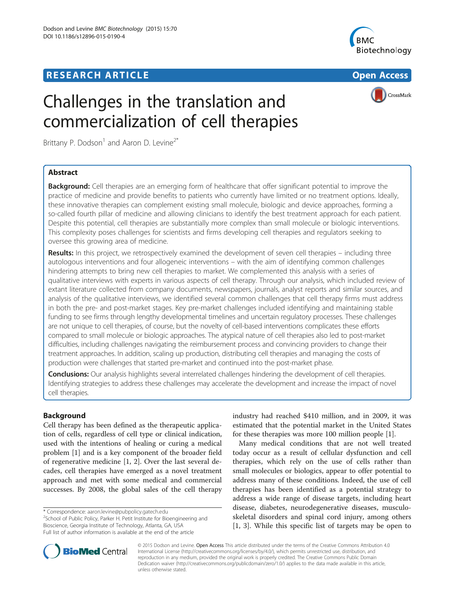## **RESEARCH ARTICLE Example 2014 12:30 THE Open Access**



CrossMark

# Challenges in the translation and commercialization of cell therapies

Brittany P. Dodson<sup>1</sup> and Aaron D. Levine<sup> $2^*$ </sup>

## Abstract

**Background:** Cell therapies are an emerging form of healthcare that offer significant potential to improve the practice of medicine and provide benefits to patients who currently have limited or no treatment options. Ideally, these innovative therapies can complement existing small molecule, biologic and device approaches, forming a so-called fourth pillar of medicine and allowing clinicians to identify the best treatment approach for each patient. Despite this potential, cell therapies are substantially more complex than small molecule or biologic interventions. This complexity poses challenges for scientists and firms developing cell therapies and regulators seeking to oversee this growing area of medicine.

Results: In this project, we retrospectively examined the development of seven cell therapies – including three autologous interventions and four allogeneic interventions – with the aim of identifying common challenges hindering attempts to bring new cell therapies to market. We complemented this analysis with a series of qualitative interviews with experts in various aspects of cell therapy. Through our analysis, which included review of extant literature collected from company documents, newspapers, journals, analyst reports and similar sources, and analysis of the qualitative interviews, we identified several common challenges that cell therapy firms must address in both the pre- and post-market stages. Key pre-market challenges included identifying and maintaining stable funding to see firms through lengthy developmental timelines and uncertain regulatory processes. These challenges are not unique to cell therapies, of course, but the novelty of cell-based interventions complicates these efforts compared to small molecule or biologic approaches. The atypical nature of cell therapies also led to post-market difficulties, including challenges navigating the reimbursement process and convincing providers to change their treatment approaches. In addition, scaling up production, distributing cell therapies and managing the costs of production were challenges that started pre-market and continued into the post-market phase.

Conclusions: Our analysis highlights several interrelated challenges hindering the development of cell therapies. Identifying strategies to address these challenges may accelerate the development and increase the impact of novel cell therapies.

## Background

Cell therapy has been defined as the therapeutic application of cells, regardless of cell type or clinical indication, used with the intentions of healing or curing a medical problem [\[1](#page-13-0)] and is a key component of the broader field of regenerative medicine [[1, 2](#page-13-0)]. Over the last several decades, cell therapies have emerged as a novel treatment approach and met with some medical and commercial successes. By 2008, the global sales of the cell therapy

\* Correspondence: [aaron.levine@pubpolicy.gatech.edu](mailto:aaron.levine@pubpolicy.gatech.edu) <sup>2</sup>

<sup>2</sup>School of Public Policy, Parker H. Petit Institute for Bioengineering and Bioscience, Georgia Institute of Technology, Atlanta, GA, USA Full list of author information is available at the end of the article

industry had reached \$410 million, and in 2009, it was estimated that the potential market in the United States for these therapies was more 100 million people [\[1](#page-13-0)].

Many medical conditions that are not well treated today occur as a result of cellular dysfunction and cell therapies, which rely on the use of cells rather than small molecules or biologics, appear to offer potential to address many of these conditions. Indeed, the use of cell therapies has been identified as a potential strategy to address a wide range of disease targets, including heart disease, diabetes, neurodegenerative diseases, musculoskeletal disorders and spinal cord injury, among others [[1, 3\]](#page-13-0). While this specific list of targets may be open to



© 2015 Dodson and Levine. Open Access This article distributed under the terms of the Creative Commons Attribution 4.0 International License [\(http://creativecommons.org/licenses/by/4.0/](http://creativecommons.org/licenses/by/4.0/)), which permits unrestricted use, distribution, and reproduction in any medium, provided the original work is properly credited. The Creative Commons Public Domain Dedication waiver [\(http://creativecommons.org/publicdomain/zero/1.0/](http://creativecommons.org/publicdomain/zero/1.0/)) applies to the data made available in this article, unless otherwise stated.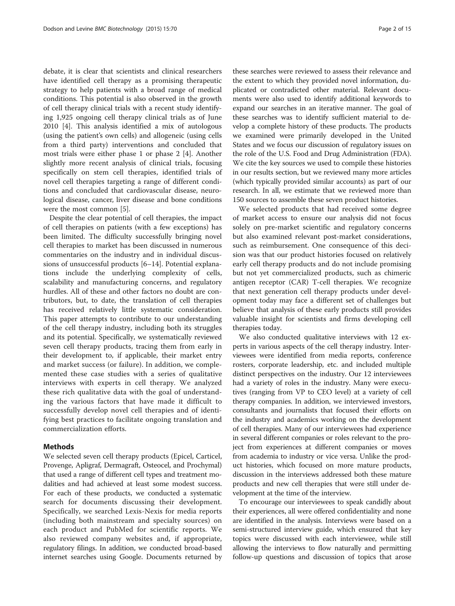debate, it is clear that scientists and clinical researchers have identified cell therapy as a promising therapeutic strategy to help patients with a broad range of medical conditions. This potential is also observed in the growth of cell therapy clinical trials with a recent study identifying 1,925 ongoing cell therapy clinical trials as of June 2010 [[4](#page-13-0)]. This analysis identified a mix of autologous (using the patient's own cells) and allogeneic (using cells from a third party) interventions and concluded that most trials were either phase 1 or phase 2 [\[4](#page-13-0)]. Another slightly more recent analysis of clinical trials, focusing specifically on stem cell therapies, identified trials of novel cell therapies targeting a range of different conditions and concluded that cardiovascular disease, neurological disease, cancer, liver disease and bone conditions were the most common [\[5](#page-13-0)].

Despite the clear potential of cell therapies, the impact of cell therapies on patients (with a few exceptions) has been limited. The difficulty successfully bringing novel cell therapies to market has been discussed in numerous commentaries on the industry and in individual discussions of unsuccessful products [[6](#page-13-0)–[14](#page-13-0)]. Potential explanations include the underlying complexity of cells, scalability and manufacturing concerns, and regulatory hurdles. All of these and other factors no doubt are contributors, but, to date, the translation of cell therapies has received relatively little systematic consideration. This paper attempts to contribute to our understanding of the cell therapy industry, including both its struggles and its potential. Specifically, we systematically reviewed seven cell therapy products, tracing them from early in their development to, if applicable, their market entry and market success (or failure). In addition, we complemented these case studies with a series of qualitative interviews with experts in cell therapy. We analyzed these rich qualitative data with the goal of understanding the various factors that have made it difficult to successfully develop novel cell therapies and of identifying best practices to facilitate ongoing translation and commercialization efforts.

## Methods

We selected seven cell therapy products (Epicel, Carticel, Provenge, Apligraf, Dermagraft, Osteocel, and Prochymal) that used a range of different cell types and treatment modalities and had achieved at least some modest success. For each of these products, we conducted a systematic search for documents discussing their development. Specifically, we searched Lexis-Nexis for media reports (including both mainstream and specialty sources) on each product and PubMed for scientific reports. We also reviewed company websites and, if appropriate, regulatory filings. In addition, we conducted broad-based internet searches using Google. Documents returned by these searches were reviewed to assess their relevance and the extent to which they provided novel information, duplicated or contradicted other material. Relevant documents were also used to identify additional keywords to expand our searches in an iterative manner. The goal of these searches was to identify sufficient material to develop a complete history of these products. The products we examined were primarily developed in the United States and we focus our discussion of regulatory issues on the role of the U.S. Food and Drug Administration (FDA). We cite the key sources we used to compile these histories in our results section, but we reviewed many more articles (which typically provided similar accounts) as part of our research. In all, we estimate that we reviewed more than 150 sources to assemble these seven product histories.

We selected products that had received some degree of market access to ensure our analysis did not focus solely on pre-market scientific and regulatory concerns but also examined relevant post-market considerations, such as reimbursement. One consequence of this decision was that our product histories focused on relatively early cell therapy products and do not include promising but not yet commercialized products, such as chimeric antigen receptor (CAR) T-cell therapies. We recognize that next generation cell therapy products under development today may face a different set of challenges but believe that analysis of these early products still provides valuable insight for scientists and firms developing cell therapies today.

We also conducted qualitative interviews with 12 experts in various aspects of the cell therapy industry. Interviewees were identified from media reports, conference rosters, corporate leadership, etc. and included multiple distinct perspectives on the industry. Our 12 interviewees had a variety of roles in the industry. Many were executives (ranging from VP to CEO level) at a variety of cell therapy companies. In addition, we interviewed investors, consultants and journalists that focused their efforts on the industry and academics working on the development of cell therapies. Many of our interviewees had experience in several different companies or roles relevant to the project from experiences at different companies or moves from academia to industry or vice versa. Unlike the product histories, which focused on more mature products, discussion in the interviews addressed both these mature products and new cell therapies that were still under development at the time of the interview.

To encourage our interviewees to speak candidly about their experiences, all were offered confidentiality and none are identified in the analysis. Interviews were based on a semi-structured interview guide, which ensured that key topics were discussed with each interviewee, while still allowing the interviews to flow naturally and permitting follow-up questions and discussion of topics that arose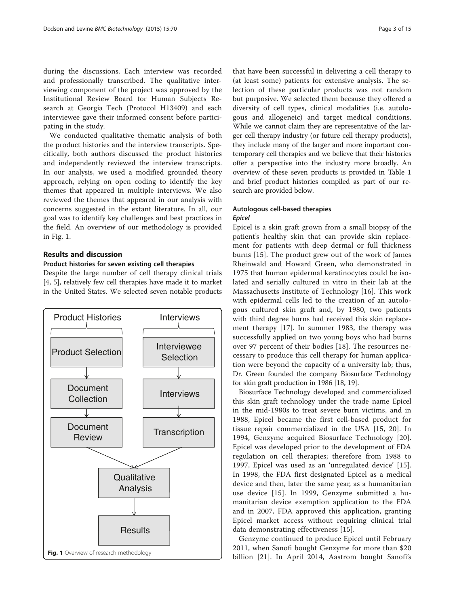during the discussions. Each interview was recorded and professionally transcribed. The qualitative interviewing component of the project was approved by the Institutional Review Board for Human Subjects Research at Georgia Tech (Protocol H13409) and each interviewee gave their informed consent before participating in the study.

We conducted qualitative thematic analysis of both the product histories and the interview transcripts. Specifically, both authors discussed the product histories and independently reviewed the interview transcripts. In our analysis, we used a modified grounded theory approach, relying on open coding to identify the key themes that appeared in multiple interviews. We also reviewed the themes that appeared in our analysis with concerns suggested in the extant literature. In all, our goal was to identify key challenges and best practices in the field. An overview of our methodology is provided in Fig. 1.

## Results and discussion

## Product histories for seven existing cell therapies

Despite the large number of cell therapy clinical trials [[4, 5\]](#page-13-0), relatively few cell therapies have made it to market in the United States. We selected seven notable products



that have been successful in delivering a cell therapy to (at least some) patients for extensive analysis. The selection of these particular products was not random but purposive. We selected them because they offered a diversity of cell types, clinical modalities (i.e. autologous and allogeneic) and target medical conditions. While we cannot claim they are representative of the larger cell therapy industry (or future cell therapy products), they include many of the larger and more important contemporary cell therapies and we believe that their histories offer a perspective into the industry more broadly. An overview of these seven products is provided in Table [1](#page-3-0) and brief product histories compiled as part of our research are provided below.

## Autologous cell-based therapies

Epicel Epicel is a skin graft grown from a small biopsy of the patient's healthy skin that can provide skin replacement for patients with deep dermal or full thickness burns [\[15](#page-13-0)]. The product grew out of the work of James Rheinwald and Howard Green, who demonstrated in 1975 that human epidermal keratinocytes could be isolated and serially cultured in vitro in their lab at the Massachusetts Institute of Technology [\[16](#page-13-0)]. This work with epidermal cells led to the creation of an autologous cultured skin graft and, by 1980, two patients with third degree burns had received this skin replacement therapy [[17](#page-13-0)]. In summer 1983, the therapy was successfully applied on two young boys who had burns over 97 percent of their bodies [[18\]](#page-13-0). The resources necessary to produce this cell therapy for human application were beyond the capacity of a university lab; thus, Dr. Green founded the company Biosurface Technology for skin graft production in 1986 [[18](#page-13-0), [19\]](#page-13-0).

Biosurface Technology developed and commercialized this skin graft technology under the trade name Epicel in the mid-1980s to treat severe burn victims, and in 1988, Epicel became the first cell-based product for tissue repair commercialized in the USA [\[15](#page-13-0), [20](#page-13-0)]. In 1994, Genzyme acquired Biosurface Technology [[20](#page-13-0)]. Epicel was developed prior to the development of FDA regulation on cell therapies; therefore from 1988 to 1997, Epicel was used as an 'unregulated device' [[15](#page-13-0)]. In 1998, the FDA first designated Epicel as a medical device and then, later the same year, as a humanitarian use device [[15](#page-13-0)]. In 1999, Genzyme submitted a humanitarian device exemption application to the FDA and in 2007, FDA approved this application, granting Epicel market access without requiring clinical trial data demonstrating effectiveness [[15\]](#page-13-0).

Genzyme continued to produce Epicel until February 2011, when Sanofi bought Genzyme for more than \$20 billion [\[21](#page-13-0)]. In April 2014, Aastrom bought Sanofi's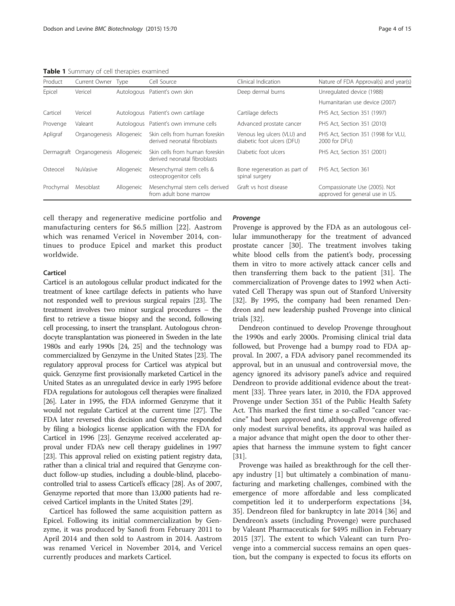<span id="page-3-0"></span>Table 1 Summary of cell therapies examined

| Product   | Current Owner Type                  |            | Cell Source                                                    | Clinical Indication                                       | Nature of FDA Approval(s) and year(s)                            |
|-----------|-------------------------------------|------------|----------------------------------------------------------------|-----------------------------------------------------------|------------------------------------------------------------------|
| Epicel    | Vericel                             |            | Autologous Patient's own skin                                  | Deep dermal burns                                         | Unregulated device (1988)                                        |
|           |                                     |            |                                                                |                                                           | Humanitarian use device (2007)                                   |
| Carticel  | Vericel                             |            | Autologous Patient's own cartilage                             | Cartilage defects                                         | PHS Act, Section 351 (1997)                                      |
| Provenge  | Valeant                             |            | Autologous Patient's own immune cells                          | Advanced prostate cancer                                  | PHS Act, Section 351 (2010)                                      |
| Apligraf  | Organogenesis                       | Allogeneic | Skin cells from human foreskin<br>derived neonatal fibroblasts | Venous leg ulcers (VLU) and<br>diabetic foot ulcers (DFU) | PHS Act, Section 351 (1998 for VLU,<br>2000 for DFU)             |
|           | Dermagraft Organogenesis Allogeneic |            | Skin cells from human foreskin<br>derived neonatal fibroblasts | Diabetic foot ulcers                                      | PHS Act. Section 351 (2001)                                      |
| Osteocel  | NuVasive                            | Allogeneic | Mesenchymal stem cells &<br>osteoprogenitor cells              | Bone regeneration as part of<br>spinal surgery            | PHS Act. Section 361                                             |
| Prochymal | Mesoblast                           | Allogeneic | Mesenchymal stem cells derived<br>from adult bone marrow       | Graft vs host disease                                     | Compassionate Use (2005). Not<br>approved for general use in US. |

cell therapy and regenerative medicine portfolio and manufacturing centers for \$6.5 million [[22](#page-13-0)]. Aastrom which was renamed Vericel in November 2014, continues to produce Epicel and market this product worldwide.

## Carticel

Carticel is an autologous cellular product indicated for the treatment of knee cartilage defects in patients who have not responded well to previous surgical repairs [\[23\]](#page-13-0). The treatment involves two minor surgical procedures – the first to retrieve a tissue biopsy and the second, following cell processing, to insert the transplant. Autologous chrondocyte transplantation was pioneered in Sweden in the late 1980s and early 1990s [\[24, 25](#page-13-0)] and the technology was commercialized by Genzyme in the United States [\[23\]](#page-13-0). The regulatory approval process for Carticel was atypical but quick. Genzyme first provisionally marketed Carticel in the United States as an unregulated device in early 1995 before FDA regulations for autologous cell therapies were finalized [[26](#page-13-0)]. Later in 1995, the FDA informed Genzyme that it would not regulate Carticel at the current time [\[27\]](#page-13-0). The FDA later reversed this decision and Genzyme responded by filing a biologics license application with the FDA for Carticel in 1996 [\[23\]](#page-13-0). Genzyme received accelerated approval under FDA's new cell therapy guidelines in 1997 [[23](#page-13-0)]. This approval relied on existing patient registry data, rather than a clinical trial and required that Genzyme conduct follow-up studies, including a double-blind, placebocontrolled trial to assess Carticel's efficacy [\[28](#page-13-0)]. As of 2007, Genzyme reported that more than 13,000 patients had received Carticel implants in the United States [\[29\]](#page-13-0).

Carticel has followed the same acquisition pattern as Epicel. Following its initial commercialization by Genzyme, it was produced by Sanofi from February 2011 to April 2014 and then sold to Aastrom in 2014. Aastrom was renamed Vericel in November 2014, and Vericel currently produces and markets Carticel.

Provenge Provenge is approved by the FDA as an autologous cellular immunotherapy for the treatment of advanced prostate cancer [[30](#page-13-0)]. The treatment involves taking white blood cells from the patient's body, processing them in vitro to more actively attack cancer cells and then transferring them back to the patient [[31\]](#page-13-0). The commercialization of Provenge dates to 1992 when Activated Cell Therapy was spun out of Stanford University [[32\]](#page-14-0). By 1995, the company had been renamed Dendreon and new leadership pushed Provenge into clinical trials [[32\]](#page-14-0).

Dendreon continued to develop Provenge throughout the 1990s and early 2000s. Promising clinical trial data followed, but Provenge had a bumpy road to FDA approval. In 2007, a FDA advisory panel recommended its approval, but in an unusual and controversial move, the agency ignored its advisory panel's advice and required Dendreon to provide additional evidence about the treatment [\[33](#page-14-0)]. Three years later, in 2010, the FDA approved Provenge under Section 351 of the Public Health Safety Act. This marked the first time a so-called "cancer vaccine" had been approved and, although Provenge offered only modest survival benefits, its approval was hailed as a major advance that might open the door to other therapies that harness the immune system to fight cancer [[31\]](#page-13-0).

Provenge was hailed as breakthrough for the cell therapy industry [[1\]](#page-13-0) but ultimately a combination of manufacturing and marketing challenges, combined with the emergence of more affordable and less complicated competition led it to underperform expectations [[34](#page-14-0), [35\]](#page-14-0). Dendreon filed for bankruptcy in late 2014 [\[36](#page-14-0)] and Dendreon's assets (including Provenge) were purchased by Valeant Pharmaceuticals for \$495 million in February 2015 [\[37](#page-14-0)]. The extent to which Valeant can turn Provenge into a commercial success remains an open question, but the company is expected to focus its efforts on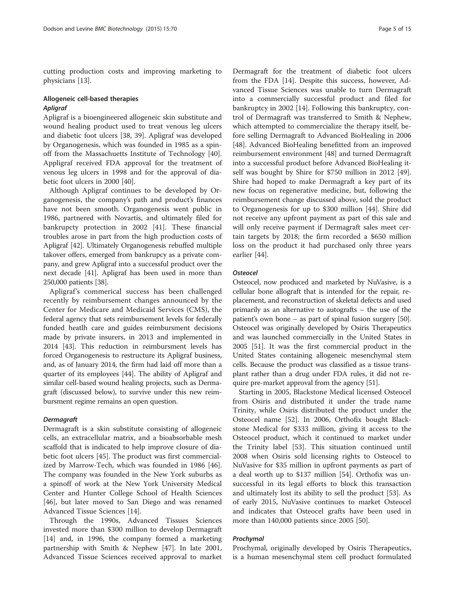cutting production costs and improving marketing to physicians [[13](#page-13-0)].

## Allogeneic cell-based therapies

Apligraf Apligraf is a bioengineered allogeneic skin substitute and wound healing product used to treat venous leg ulcers and diabetic foot ulcers [[38](#page-14-0), [39\]](#page-14-0). Apligraf was developed by Organogenesis, which was founded in 1985 as a spinoff from the Massachuetts Institute of Technology [\[40](#page-14-0)]. Appligraf received FDA approval for the treatment of venous leg ulcers in 1998 and for the approval of diabetic foot ulcers in 2000 [\[40\]](#page-14-0).

Although Apligraf continues to be developed by Organogenesis, the company's path and product's finances have not been smooth. Organogenesis went public in 1986, partnered with Novartis, and ultimately filed for bankrupcty protection in 2002 [[41\]](#page-14-0). These financial troubles arose in part from the high production costs of Apligraf [\[42\]](#page-14-0). Ultimately Organogenesis rebuffed multiple takover offers, emerged from bankrupcy as a private company, and grew Apligraf into a successful product over the next decade [[41\]](#page-14-0). Apligraf has been used in more than 250,000 patients [\[38](#page-14-0)].

Apligraf's commerical success has been challenged recently by reimbursement changes announced by the Center for Medicare and Medicaid Services (CMS), the federal agency that sets reimbursement levels for federally funded heatlh care and guides reimbursment decisions made by private insurers, in 2013 and implemented in 2014 [[43\]](#page-14-0). This reduction in reimbursment levels has forced Organogenesis to restructure its Apligraf business, and, as of January 2014, the firm had laid off more than a quarter of its employees [\[44](#page-14-0)]. The ability of Apligraf and similar cell-based wound healing projects, such as Dermagraft (discussed below), to survive under this new reimbursment regime remains an open question.

Dermagraft Dermagraft is a skin substitute consisting of allogeneic cells, an extracellular matrix, and a bioabsorbable mesh scaffold that is indicated to help improve closure of diabetic foot ulcers [\[45\]](#page-14-0). The product was first commercialized by Marrow-Tech, which was founded in 1986 [\[46](#page-14-0)]. The company was founded in the New York suburbs as a spinoff of work at the New York University Medical Center and Hunter College School of Health Sciences [[46\]](#page-14-0), but later moved to San Diego and was renamed Advanced Tissue Sciences [\[14\]](#page-13-0).

Through the 1990s, Advanced Tissues Sciences invested more than \$300 million to develop Dermagraft [[14\]](#page-13-0) and, in 1996, the company formed a marketing partnership with Smith & Nephew [\[47\]](#page-14-0). In late 2001, Advanced Tissue Sciences received approval to market Dermagraft for the treatment of diabetic foot ulcers from the FDA [[14](#page-13-0)]. Despite this success, however, Advanced Tissue Sciences was unable to turn Dermagraft into a commercially successful product and filed for bankruptcy in 2002 [\[14](#page-13-0)]. Following this bankruptcy, control of Dermagraft was transferred to Smith & Nephew, which attempted to commercialize the therapy itself, before selling Dermagraft to Advanced BioHealing in 2006 [[48\]](#page-14-0). Advanced BioHealing benefitted from an improved reimbursement environment [\[48\]](#page-14-0) and turned Dermagraft into a successful product before Advanced BioHealing itself was bought by Shire for \$750 million in 2012 [\[49](#page-14-0)]. Shire had hoped to make Dermagraft a key part of its new focus on regenerative medicine, but, following the reimbursement change discussed above, sold the product to Organogenesis for up to \$300 million [[44\]](#page-14-0). Shire did not receive any upfront payment as part of this sale and will only receive payment if Dermagraft sales meet certain targets by 2018; the firm recorded a \$650 million loss on the product it had purchased only three years earlier [[44](#page-14-0)].

## **Osteocel**

Osteocel Osteocel, now produced and marketed by NuVasive, is a cellular bone allograft that is intended for the repair, replacement, and reconstruction of skeletal defects and used primarily as an alternative to autografts – the use of the patient's own bone – as part of spinal fusion surgery [[50](#page-14-0)]. Osteocel was originally developed by Osiris Therapeutics and was launched commercially in the United States in 2005 [\[51](#page-14-0)]. It was the first commercial product in the United States containing allogeneic mesenchymal stem cells. Because the product was classified as a tissue transplant rather than a drug under FDA rules, it did not require pre-market approval from the agency [\[51\]](#page-14-0).

Starting in 2005, Blackstone Medical licensed Osteocel from Osiris and distributed it under the trade name Trinity, while Osiris distributed the product under the Osteocel name [[52](#page-14-0)]. In 2006, Orthofix bought Blackstone Medical for \$333 million, giving it access to the Osteocel product, which it continued to market under the Trinity label [[53\]](#page-14-0). This situation continued until 2008 when Osiris sold licensing rights to Osteocel to NuVasive for \$35 million in upfront payments as part of a deal worth up to \$137 million [\[54](#page-14-0)]. Orthofix was unsuccessful in its legal efforts to block this transaction and ultimately lost its ability to sell the product [\[53](#page-14-0)]. As of early 2015, NuVasive continues to market Osteocel and indicates that Osteocel grafts have been used in more than 140,000 patients since 2005 [\[50\]](#page-14-0).

Prochymal Prochymal, originally developed by Osiris Therapeutics, is a human mesenchymal stem cell product formulated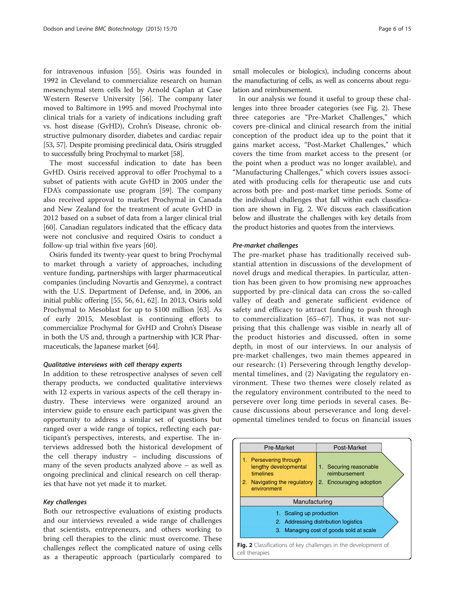for intravenous infusion [\[55](#page-14-0)]. Osiris was founded in 1992 in Cleveland to commercialize research on human mesenchymal stem cells led by Arnold Caplan at Case Western Reserve University [[56\]](#page-14-0). The company later moved to Baltimore in 1995 and moved Prochymal into clinical trials for a variety of indications including graft vs. host disease (GvHD), Crohn's Disease, chronic obstructive pulmonary disorder, diabetes and cardiac repair [[53](#page-14-0), [57](#page-14-0)]. Despite promising preclinical data, Osiris struggled to successfully bring Prochymal to market [[58\]](#page-14-0).

The most successful indication to date has been GvHD. Osiris received approval to offer Prochymal to a subset of patients with acute GvHD in 2005 under the FDA's compassionate use program [[59\]](#page-14-0). The company also received approval to market Prochymal in Canada and New Zealand for the treatment of acute GvHD in 2012 based on a subset of data from a larger clinical trial [[60\]](#page-14-0). Canadian regulators indicated that the efficacy data were not conclusive and required Osiris to conduct a follow-up trial within five years [[60\]](#page-14-0).

Osiris funded its twenty-year quest to bring Prochymal to market through a variety of approaches, including venture funding, partnerships with larger pharmaceutical companies (including Novartis and Genzyme), a contract with the U.S. Department of Defense, and, in 2006, an initial public offering [\[55](#page-14-0), [56](#page-14-0), [61, 62\]](#page-14-0). In 2013, Osiris sold Prochymal to Mesoblast for up to \$100 million [[63\]](#page-14-0). As of early 2015, Mesoblast is continuing efforts to commercialize Prochymal for GvHD and Crohn's Disease in both the US and, through a partnership with JCR Pharmaceuticals, the Japanese market [\[64\]](#page-14-0).

In addition to these retrospective analyses of seven cell therapy products, we conducted qualitative interviews with 12 experts in various aspects of the cell therapy industry. These interviews were organized around an interview guide to ensure each participant was given the opportunity to address a similar set of questions but ranged over a wide range of topics, reflecting each participant's perspectives, interests, and expertise. The interviews addressed both the historical development of the cell therapy industry – including discussions of many of the seven products analyzed above – as well as ongoing preclinical and clinical research on cell therapies that have not yet made it to market.

Both our retrospective evaluations of existing products and our interviews revealed a wide range of challenges that scientists, entrepreneurs, and others working to bring cell therapies to the clinic must overcome. These challenges reflect the complicated nature of using cells as a therapeutic approach (particularly compared to

small molecules or biologics), including concerns about the manufacturing of cells, as well as concerns about regulation and reimbursement.

In our analysis we found it useful to group these challenges into three broader categories (see Fig. 2). These three categories are "Pre-Market Challenges," which covers pre-clinical and clinical research from the initial conception of the product idea up to the point that it gains market access, "Post-Market Challenges," which covers the time from market access to the present (or the point when a product was no longer available), and "Manufacturing Challenges," which covers issues associated with producing cells for therapeutic use and cuts across both pre- and post-market time periods. Some of the individual challenges that fall within each classification are shown in Fig. 2. We discuss each classification below and illustrate the challenges with key details from the product histories and quotes from the interviews.

The pre-market phase has traditionally received substantial attention in discussions of the development of novel drugs and medical therapies. In particular, attention has been given to how promising new approaches supported by pre-clinical data can cross the so-called valley of death and generate sufficient evidence of safety and efficacy to attract funding to push through to commercialization [[65](#page-14-0)–[67](#page-14-0)]. Thus, it was not surprising that this challenge was visible in nearly all of the product histories and discussed, often in some depth, in most of our interviews. In our analysis of pre-market challenges, two main themes appeared in our research: (1) Persevering through lengthy developmental timelines, and (2) Navigating the regulatory environment. These two themes were closely related as the regulatory environment contributed to the need to persevere over long time periods in several cases. Because discussions about perseverance and long developmental timelines tended to focus on financial issues

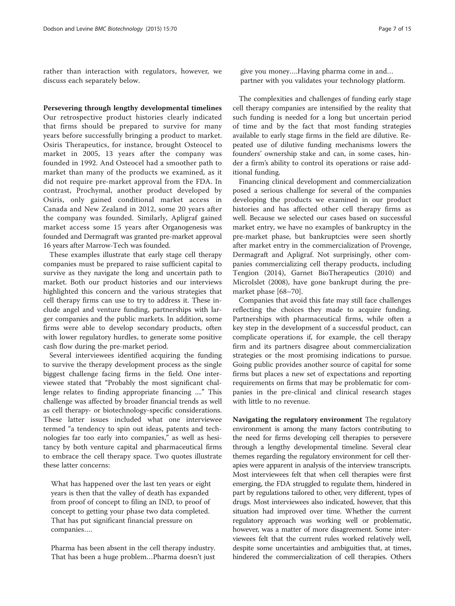rather than interaction with regulators, however, we discuss each separately below.

## Persevering through lengthy developmental timelines

Our retrospective product histories clearly indicated that firms should be prepared to survive for many years before successfully bringing a product to market. Osiris Therapeutics, for instance, brought Osteocel to market in 2005, 13 years after the company was founded in 1992. And Osteocel had a smoother path to market than many of the products we examined, as it did not require pre-market approval from the FDA. In contrast, Prochymal, another product developed by Osiris, only gained conditional market access in Canada and New Zealand in 2012, some 20 years after the company was founded. Similarly, Apligraf gained market access some 15 years after Organogenesis was founded and Dermagraft was granted pre-market approval 16 years after Marrow-Tech was founded.

These examples illustrate that early stage cell therapy companies must be prepared to raise sufficient capital to survive as they navigate the long and uncertain path to market. Both our product histories and our interviews highlighted this concern and the various strategies that cell therapy firms can use to try to address it. These include angel and venture funding, partnerships with larger companies and the public markets. In addition, some firms were able to develop secondary products, often with lower regulatory hurdles, to generate some positive cash flow during the pre-market period.

Several interviewees identified acquiring the funding to survive the therapy development process as the single biggest challenge facing firms in the field. One interviewee stated that "Probably the most significant challenge relates to finding appropriate financing ...." This challenge was affected by broader financial trends as well as cell therapy- or biotechnology-specific considerations. These latter issues included what one interviewee termed "a tendency to spin out ideas, patents and technologies far too early into companies," as well as hesitancy by both venture capital and pharmaceutical firms to embrace the cell therapy space. Two quotes illustrate these latter concerns:

What has happened over the last ten years or eight years is then that the valley of death has expanded from proof of concept to filing an IND, to proof of concept to getting your phase two data completed. That has put significant financial pressure on companies….

Pharma has been absent in the cell therapy industry. That has been a huge problem…Pharma doesn't just give you money….Having pharma come in and… partner with you validates your technology platform.

The complexities and challenges of funding early stage cell therapy companies are intensified by the reality that such funding is needed for a long but uncertain period of time and by the fact that most funding strategies available to early stage firms in the field are dilutive. Repeated use of dilutive funding mechanisms lowers the founders' ownership stake and can, in some cases, hinder a firm's ability to control its operations or raise additional funding.

Financing clinical development and commercialization posed a serious challenge for several of the companies developing the products we examined in our product histories and has affected other cell therapy firms as well. Because we selected our cases based on successful market entry, we have no examples of bankruptcy in the pre-market phase, but bankruptcies were seen shortly after market entry in the commercialization of Provenge, Dermagraft and Apligraf. Not surprisingly, other companies commercializing cell therapy products, including Tengion (2014), Garnet BioTherapeutics (2010) and MicroIslet (2008), have gone bankrupt during the premarket phase [[68](#page-14-0)–[70](#page-14-0)].

Companies that avoid this fate may still face challenges reflecting the choices they made to acquire funding. Partnerships with pharmaceutical firms, while often a key step in the development of a successful product, can complicate operations if, for example, the cell therapy firm and its partners disagree about commercialization strategies or the most promising indications to pursue. Going public provides another source of capital for some firms but places a new set of expectations and reporting requirements on firms that may be problematic for companies in the pre-clinical and clinical research stages with little to no revenue.

Navigating the regulatory environment The regulatory environment is among the many factors contributing to the need for firms developing cell therapies to persevere through a lengthy developmental timeline. Several clear themes regarding the regulatory environment for cell therapies were apparent in analysis of the interview transcripts. Most interviewees felt that when cell therapies were first emerging, the FDA struggled to regulate them, hindered in part by regulations tailored to other, very different, types of drugs. Most interviewees also indicated, however, that this situation had improved over time. Whether the current regulatory approach was working well or problematic, however, was a matter of more disagreement. Some interviewees felt that the current rules worked relatively well, despite some uncertainties and ambiguities that, at times, hindered the commercialization of cell therapies. Others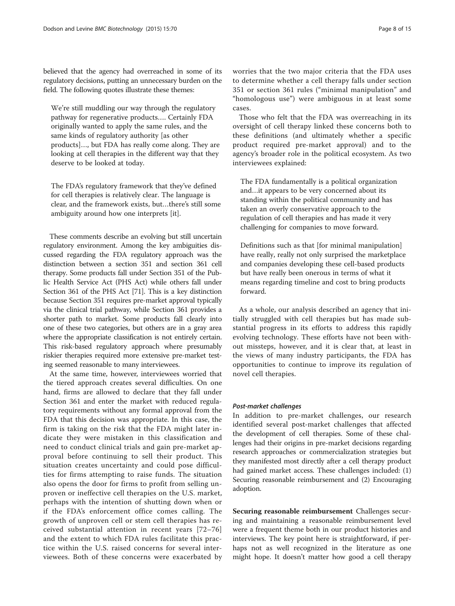believed that the agency had overreached in some of its regulatory decisions, putting an unnecessary burden on the field. The following quotes illustrate these themes:

We're still muddling our way through the regulatory pathway for regenerative products…. Certainly FDA originally wanted to apply the same rules, and the same kinds of regulatory authority [as other products]…, but FDA has really come along. They are looking at cell therapies in the different way that they deserve to be looked at today.

The FDA's regulatory framework that they've defined for cell therapies is relatively clear. The language is clear, and the framework exists, but…there's still some ambiguity around how one interprets [it].

These comments describe an evolving but still uncertain regulatory environment. Among the key ambiguities discussed regarding the FDA regulatory approach was the distinction between a section 351 and section 361 cell therapy. Some products fall under Section 351 of the Public Health Service Act (PHS Act) while others fall under Section 361 of the PHS Act [[71](#page-14-0)]. This is a key distinction because Section 351 requires pre-market approval typically via the clinical trial pathway, while Section 361 provides a shorter path to market. Some products fall clearly into one of these two categories, but others are in a gray area where the appropriate classification is not entirely certain. This risk-based regulatory approach where presumably riskier therapies required more extensive pre-market testing seemed reasonable to many interviewees.

At the same time, however, interviewees worried that the tiered approach creates several difficulties. On one hand, firms are allowed to declare that they fall under Section 361 and enter the market with reduced regulatory requirements without any formal approval from the FDA that this decision was appropriate. In this case, the firm is taking on the risk that the FDA might later indicate they were mistaken in this classification and need to conduct clinical trials and gain pre-market approval before continuing to sell their product. This situation creates uncertainty and could pose difficulties for firms attempting to raise funds. The situation also opens the door for firms to profit from selling unproven or ineffective cell therapies on the U.S. market, perhaps with the intention of shutting down when or if the FDA's enforcement office comes calling. The growth of unproven cell or stem cell therapies has received substantial attention in recent years [[72](#page-14-0)–[76](#page-14-0)] and the extent to which FDA rules facilitate this practice within the U.S. raised concerns for several interviewees. Both of these concerns were exacerbated by

worries that the two major criteria that the FDA uses to determine whether a cell therapy falls under section 351 or section 361 rules ("minimal manipulation" and "homologous use") were ambiguous in at least some cases.

Those who felt that the FDA was overreaching in its oversight of cell therapy linked these concerns both to these definitions (and ultimately whether a specific product required pre-market approval) and to the agency's broader role in the political ecosystem. As two interviewees explained:

The FDA fundamentally is a political organization and…it appears to be very concerned about its standing within the political community and has taken an overly conservative approach to the regulation of cell therapies and has made it very challenging for companies to move forward.

Definitions such as that [for minimal manipulation] have really, really not only surprised the marketplace and companies developing these cell-based products but have really been onerous in terms of what it means regarding timeline and cost to bring products forward.

As a whole, our analysis described an agency that initially struggled with cell therapies but has made substantial progress in its efforts to address this rapidly evolving technology. These efforts have not been without missteps, however, and it is clear that, at least in the views of many industry participants, the FDA has opportunities to continue to improve its regulation of novel cell therapies.

In addition to pre-market challenges, our research identified several post-market challenges that affected the development of cell therapies. Some of these challenges had their origins in pre-market decisions regarding research approaches or commercialization strategies but they manifested most directly after a cell therapy product had gained market access. These challenges included: (1) Securing reasonable reimbursement and (2) Encouraging adoption.

Securing reasonable reimbursement Challenges securing and maintaining a reasonable reimbursement level were a frequent theme both in our product histories and interviews. The key point here is straightforward, if perhaps not as well recognized in the literature as one might hope. It doesn't matter how good a cell therapy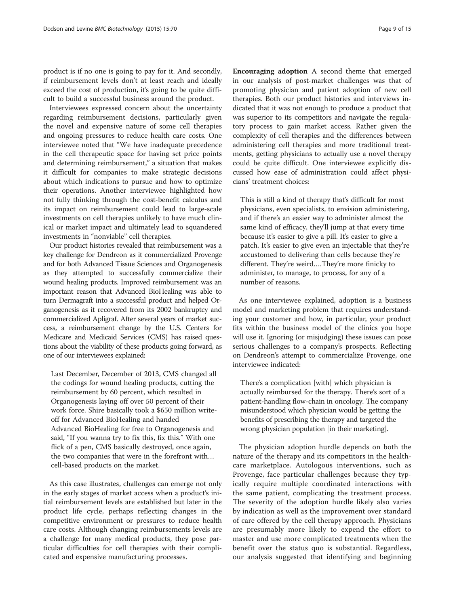product is if no one is going to pay for it. And secondly, if reimbursement levels don't at least reach and ideally exceed the cost of production, it's going to be quite difficult to build a successful business around the product.

Interviewees expressed concern about the uncertainty regarding reimbursement decisions, particularly given the novel and expensive nature of some cell therapies and ongoing pressures to reduce health care costs. One interviewee noted that "We have inadequate precedence in the cell therapeutic space for having set price points and determining reimbursement," a situation that makes it difficult for companies to make strategic decisions about which indications to pursue and how to optimize their operations. Another interviewee highlighted how not fully thinking through the cost-benefit calculus and its impact on reimbursement could lead to large-scale investments on cell therapies unlikely to have much clinical or market impact and ultimately lead to squandered investments in "nonviable" cell therapies.

Our product histories revealed that reimbursement was a key challenge for Dendreon as it commercialized Provenge and for both Advanced Tissue Sciences and Organogenesis as they attempted to successfully commercialize their wound healing products. Improved reimbursement was an important reason that Advanced BioHealing was able to turn Dermagraft into a successful product and helped Organogenesis as it recovered from its 2002 bankruptcy and commercialized Apligraf. After several years of market success, a reimbursement change by the U.S. Centers for Medicare and Medicaid Services (CMS) has raised questions about the viability of these products going forward, as one of our interviewees explained:

Last December, December of 2013, CMS changed all the codings for wound healing products, cutting the reimbursement by 60 percent, which resulted in Organogenesis laying off over 50 percent of their work force. Shire basically took a \$650 million writeoff for Advanced BioHealing and handed Advanced BioHealing for free to Organogenesis and said, "If you wanna try to fix this, fix this." With one flick of a pen, CMS basically destroyed, once again, the two companies that were in the forefront with… cell-based products on the market.

As this case illustrates, challenges can emerge not only in the early stages of market access when a product's initial reimbursement levels are established but later in the product life cycle, perhaps reflecting changes in the competitive environment or pressures to reduce health care costs. Although changing reimbursements levels are a challenge for many medical products, they pose particular difficulties for cell therapies with their complicated and expensive manufacturing processes.

Encouraging adoption A second theme that emerged in our analysis of post-market challenges was that of promoting physician and patient adoption of new cell therapies. Both our product histories and interviews indicated that it was not enough to produce a product that was superior to its competitors and navigate the regulatory process to gain market access. Rather given the complexity of cell therapies and the differences between administering cell therapies and more traditional treatments, getting physicians to actually use a novel therapy could be quite difficult. One interviewee explicitly discussed how ease of administration could affect physicians' treatment choices:

This is still a kind of therapy that's difficult for most physicians, even specialists, to envision administering, and if there's an easier way to administer almost the same kind of efficacy, they'll jump at that every time because it's easier to give a pill. It's easier to give a patch. It's easier to give even an injectable that they're accustomed to delivering than cells because they're different. They're weird….They're more finicky to administer, to manage, to process, for any of a number of reasons.

As one interviewee explained, adoption is a business model and marketing problem that requires understanding your customer and how, in particular, your product fits within the business model of the clinics you hope will use it. Ignoring (or misjudging) these issues can pose serious challenges to a company's prospects. Reflecting on Dendreon's attempt to commercialize Provenge, one interviewee indicated:

There's a complication [with] which physician is actually reimbursed for the therapy. There's sort of a patient-handling flow-chain in oncology. The company misunderstood which physician would be getting the benefits of prescribing the therapy and targeted the wrong physician population [in their marketing].

The physician adoption hurdle depends on both the nature of the therapy and its competitors in the healthcare marketplace. Autologous interventions, such as Provenge, face particular challenges because they typically require multiple coordinated interactions with the same patient, complicating the treatment process. The severity of the adoption hurdle likely also varies by indication as well as the improvement over standard of care offered by the cell therapy approach. Physicians are presumably more likely to expend the effort to master and use more complicated treatments when the benefit over the status quo is substantial. Regardless, our analysis suggested that identifying and beginning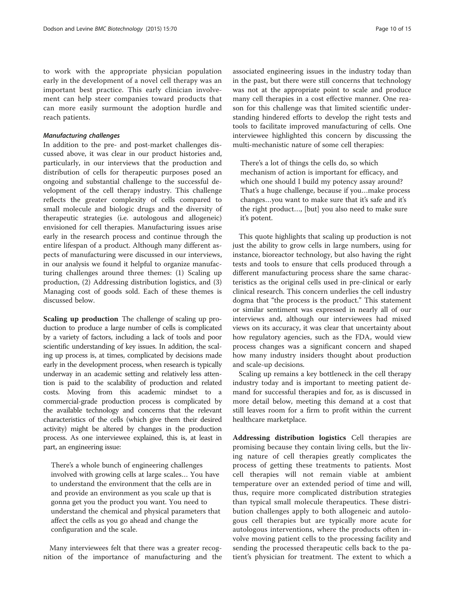to work with the appropriate physician population early in the development of a novel cell therapy was an important best practice. This early clinician involvement can help steer companies toward products that can more easily surmount the adoption hurdle and reach patients.

In addition to the pre- and post-market challenges discussed above, it was clear in our product histories and, particularly, in our interviews that the production and distribution of cells for therapeutic purposes posed an ongoing and substantial challenge to the successful development of the cell therapy industry. This challenge reflects the greater complexity of cells compared to small molecule and biologic drugs and the diversity of therapeutic strategies (i.e. autologous and allogeneic) envisioned for cell therapies. Manufacturing issues arise early in the research process and continue through the entire lifespan of a product. Although many different aspects of manufacturing were discussed in our interviews, in our analysis we found it helpful to organize manufacturing challenges around three themes: (1) Scaling up production, (2) Addressing distribution logistics, and (3) Managing cost of goods sold. Each of these themes is discussed below.

Scaling up production The challenge of scaling up production to produce a large number of cells is complicated by a variety of factors, including a lack of tools and poor scientific understanding of key issues. In addition, the scaling up process is, at times, complicated by decisions made early in the development process, when research is typically underway in an academic setting and relatively less attention is paid to the scalability of production and related costs. Moving from this academic mindset to a commercial-grade production process is complicated by the available technology and concerns that the relevant characteristics of the cells (which give them their desired activity) might be altered by changes in the production process. As one interviewee explained, this is, at least in part, an engineering issue:

There's a whole bunch of engineering challenges involved with growing cells at large scales… You have to understand the environment that the cells are in and provide an environment as you scale up that is gonna get you the product you want. You need to understand the chemical and physical parameters that affect the cells as you go ahead and change the configuration and the scale.

Many interviewees felt that there was a greater recognition of the importance of manufacturing and the

associated engineering issues in the industry today than in the past, but there were still concerns that technology was not at the appropriate point to scale and produce many cell therapies in a cost effective manner. One reason for this challenge was that limited scientific understanding hindered efforts to develop the right tests and tools to facilitate improved manufacturing of cells. One interviewee highlighted this concern by discussing the multi-mechanistic nature of some cell therapies:

There's a lot of things the cells do, so which mechanism of action is important for efficacy, and which one should I build my potency assay around? That's a huge challenge, because if you…make process changes…you want to make sure that it's safe and it's the right product…, [but] you also need to make sure it's potent.

This quote highlights that scaling up production is not just the ability to grow cells in large numbers, using for instance, bioreactor technology, but also having the right tests and tools to ensure that cells produced through a different manufacturing process share the same characteristics as the original cells used in pre-clinical or early clinical research. This concern underlies the cell industry dogma that "the process is the product." This statement or similar sentiment was expressed in nearly all of our interviews and, although our interviewees had mixed views on its accuracy, it was clear that uncertainty about how regulatory agencies, such as the FDA, would view process changes was a significant concern and shaped how many industry insiders thought about production and scale-up decisions.

Scaling up remains a key bottleneck in the cell therapy industry today and is important to meeting patient demand for successful therapies and for, as is discussed in more detail below, meeting this demand at a cost that still leaves room for a firm to profit within the current healthcare marketplace.

Addressing distribution logistics Cell therapies are promising because they contain living cells, but the living nature of cell therapies greatly complicates the process of getting these treatments to patients. Most cell therapies will not remain viable at ambient temperature over an extended period of time and will, thus, require more complicated distribution strategies than typical small molecule therapeutics. These distribution challenges apply to both allogeneic and autologous cell therapies but are typically more acute for autologous interventions, where the products often involve moving patient cells to the processing facility and sending the processed therapeutic cells back to the patient's physician for treatment. The extent to which a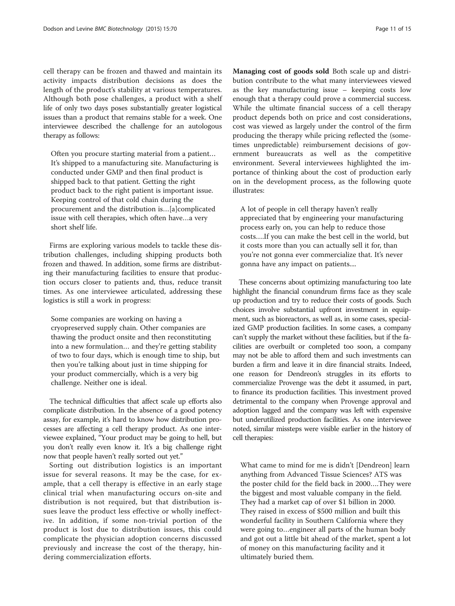cell therapy can be frozen and thawed and maintain its activity impacts distribution decisions as does the length of the product's stability at various temperatures. Although both pose challenges, a product with a shelf life of only two days poses substantially greater logistical issues than a product that remains stable for a week. One interviewee described the challenge for an autologous therapy as follows:

Often you procure starting material from a patient… It's shipped to a manufacturing site. Manufacturing is conducted under GMP and then final product is shipped back to that patient. Getting the right product back to the right patient is important issue. Keeping control of that cold chain during the procurement and the distribution is…[a]complicated issue with cell therapies, which often have…a very short shelf life.

Firms are exploring various models to tackle these distribution challenges, including shipping products both frozen and thawed. In addition, some firms are distributing their manufacturing facilities to ensure that production occurs closer to patients and, thus, reduce transit times. As one interviewee articulated, addressing these logistics is still a work in progress:

Some companies are working on having a cryopreserved supply chain. Other companies are thawing the product onsite and then reconstituting into a new formulation… and they're getting stability of two to four days, which is enough time to ship, but then you're talking about just in time shipping for your product commercially, which is a very big challenge. Neither one is ideal.

The technical difficulties that affect scale up efforts also complicate distribution. In the absence of a good potency assay, for example, it's hard to know how distribution processes are affecting a cell therapy product. As one interviewee explained, "Your product may be going to hell, but you don't really even know it. It's a big challenge right now that people haven't really sorted out yet."

Sorting out distribution logistics is an important issue for several reasons. It may be the case, for example, that a cell therapy is effective in an early stage clinical trial when manufacturing occurs on-site and distribution is not required, but that distribution issues leave the product less effective or wholly ineffective. In addition, if some non-trivial portion of the product is lost due to distribution issues, this could complicate the physician adoption concerns discussed previously and increase the cost of the therapy, hindering commercialization efforts.

Managing cost of goods sold Both scale up and distribution contribute to the what many interviewees viewed as the key manufacturing issue – keeping costs low enough that a therapy could prove a commercial success. While the ultimate financial success of a cell therapy product depends both on price and cost considerations, cost was viewed as largely under the control of the firm producing the therapy while pricing reflected the (sometimes unpredictable) reimbursement decisions of government bureaucrats as well as the competitive environment. Several interviewees highlighted the importance of thinking about the cost of production early on in the development process, as the following quote illustrates:

A lot of people in cell therapy haven't really appreciated that by engineering your manufacturing process early on, you can help to reduce those costs….If you can make the best cell in the world, but it costs more than you can actually sell it for, than you're not gonna ever commercialize that. It's never gonna have any impact on patients....

These concerns about optimizing manufacturing too late highlight the financial conundrum firms face as they scale up production and try to reduce their costs of goods. Such choices involve substantial upfront investment in equipment, such as bioreactors, as well as, in some cases, specialized GMP production facilities. In some cases, a company can't supply the market without these facilities, but if the facilities are overbuilt or completed too soon, a company may not be able to afford them and such investments can burden a firm and leave it in dire financial straits. Indeed, one reason for Dendreon's struggles in its efforts to commercialize Provenge was the debt it assumed, in part, to finance its production facilities. This investment proved detrimental to the company when Provenge approval and adoption lagged and the company was left with expensive but underutilized production facilities. As one interviewee noted, similar missteps were visible earlier in the history of cell therapies:

What came to mind for me is didn't [Dendreon] learn anything from Advanced Tissue Sciences? ATS was the poster child for the field back in 2000….They were the biggest and most valuable company in the field. They had a market cap of over \$1 billion in 2000. They raised in excess of \$500 million and built this wonderful facility in Southern California where they were going to…engineer all parts of the human body and got out a little bit ahead of the market, spent a lot of money on this manufacturing facility and it ultimately buried them.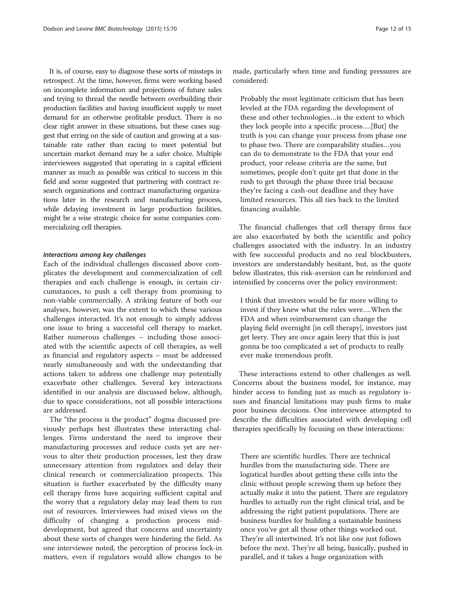It is, of course, easy to diagnose these sorts of missteps in retrospect. At the time, however, firms were working based on incomplete information and projections of future sales and trying to thread the needle between overbuilding their production facilities and having insufficient supply to meet demand for an otherwise profitable product. There is no clear right answer in these situations, but these cases suggest that erring on the side of caution and growing at a sustainable rate rather than racing to meet potential but uncertain market demand may be a safer choice. Multiple interviewees suggested that operating in a capital efficient manner as much as possible was critical to success in this field and some suggested that partnering with contract research organizations and contract manufacturing organizations later in the research and manufacturing process, while delaying investment in large production facilities, might be a wise strategic choice for some companies commercializing cell therapies.

Each of the individual challenges discussed above complicates the development and commercialization of cell therapies and each challenge is enough, in certain circumstances, to push a cell therapy from promising to non-viable commercially. A striking feature of both our analyses, however, was the extent to which these various challenges interacted. It's not enough to simply address one issue to bring a successful cell therapy to market. Rather numerous challenges – including those associated with the scientific aspects of cell therapies, as well as financial and regulatory aspects – must be addressed nearly simultaneously and with the understanding that actions taken to address one challenge may potentially exacerbate other challenges. Several key interactions identified in our analysis are discussed below, although, due to space considerations, not all possible interactions are addressed.

The "the process is the product" dogma discussed previously perhaps best illustrates these interacting challenges. Firms understand the need to improve their manufacturing processes and reduce costs yet are nervous to alter their production processes, lest they draw unnecessary attention from regulators and delay their clinical research or commercialization prospects. This situation is further exacerbated by the difficulty many cell therapy firms have acquiring sufficient capital and the worry that a regulatory delay may lead them to run out of resources. Interviewees had mixed views on the difficulty of changing a production process middevelopment, but agreed that concerns and uncertainty about these sorts of changes were hindering the field. As one interviewee noted, the perception of process lock-in matters, even if regulators would allow changes to be made, particularly when time and funding pressures are considered:

Probably the most legitimate criticism that has been leveled at the FDA regarding the development of these and other technologies…is the extent to which they lock people into a specific process….[But] the truth is you can change your process from phase one to phase two. There are comparability studies…you can do to demonstrate to the FDA that your end product, your release criteria are the same, but sometimes, people don't quite get that done in the rush to get through the phase three trial because they're facing a cash-out deadline and they have limited resources. This all ties back to the limited financing available.

The financial challenges that cell therapy firms face are also exacerbated by both the scientific and policy challenges associated with the industry. In an industry with few successful products and no real blockbusters, investors are understandably hesitant, but, as the quote below illustrates, this risk-aversion can be reinforced and intensified by concerns over the policy environment:

I think that investors would be far more willing to invest if they knew what the rules were….When the FDA and when reimbursement can change the playing field overnight [in cell therapy], investors just get leery. They are once again leery that this is just gonna be too complicated a set of products to really ever make tremendous profit.

These interactions extend to other challenges as well. Concerns about the business model, for instance, may hinder access to funding just as much as regulatory issues and financial limitations may push firms to make poor business decisions. One interviewee attempted to describe the difficulties associated with developing cell therapies specifically by focusing on these interactions:

There are scientific hurdles. There are technical hurdles from the manufacturing side. There are logistical hurdles about getting these cells into the clinic without people screwing them up before they actually make it into the patient. There are regulatory hurdles to actually run the right clinical trial, and be addressing the right patient populations. There are business hurdles for building a sustainable business once you've got all those other things worked out. They're all intertwined. It's not like one just follows before the next. They're all being, basically, pushed in parallel, and it takes a huge organization with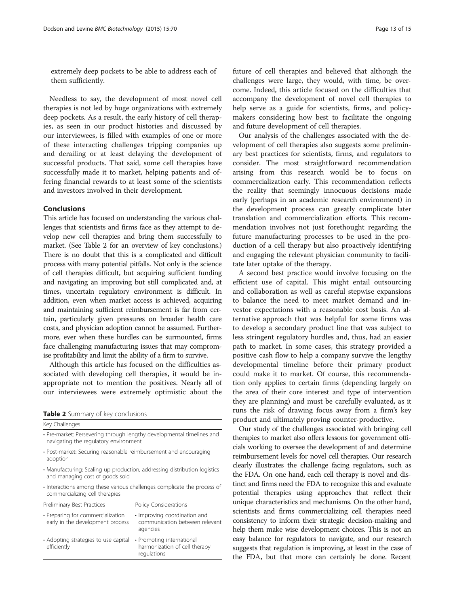extremely deep pockets to be able to address each of them sufficiently.

Needless to say, the development of most novel cell therapies is not led by huge organizations with extremely deep pockets. As a result, the early history of cell therapies, as seen in our product histories and discussed by our interviewees, is filled with examples of one or more of these interacting challenges tripping companies up and derailing or at least delaying the development of successful products. That said, some cell therapies have successfully made it to market, helping patients and offering financial rewards to at least some of the scientists and investors involved in their development.

## Conclusions

This article has focused on understanding the various challenges that scientists and firms face as they attempt to develop new cell therapies and bring them successfully to market. (See Table 2 for an overview of key conclusions.) There is no doubt that this is a complicated and difficult process with many potential pitfalls. Not only is the science of cell therapies difficult, but acquiring sufficient funding and navigating an improving but still complicated and, at times, uncertain regulatory environment is difficult. In addition, even when market access is achieved, acquiring and maintaining sufficient reimbursement is far from certain, particularly given pressures on broader health care costs, and physician adoption cannot be assumed. Furthermore, ever when these hurdles can be surmounted, firms face challenging manufacturing issues that may compromise profitability and limit the ability of a firm to survive.

Although this article has focused on the difficulties associated with developing cell therapies, it would be inappropriate not to mention the positives. Nearly all of our interviewees were extremely optimistic about the

Table 2 Summary of key conclusions

| Key Challenges                                                                                                 |                                                                            |  |
|----------------------------------------------------------------------------------------------------------------|----------------------------------------------------------------------------|--|
| • Pre-market: Persevering through lengthy developmental timelines and<br>navigating the regulatory environment |                                                                            |  |
| • Post-market: Securing reasonable reimbursement and encouraging<br>adoption                                   |                                                                            |  |
| • Manufacturing: Scaling up production, addressing distribution logistics<br>and managing cost of goods sold   |                                                                            |  |
| commercializing cell therapies                                                                                 | • Interactions among these various challenges complicate the process of    |  |
| Preliminary Best Practices                                                                                     | Policy Considerations                                                      |  |
| • Preparing for commercialization<br>early in the development process                                          | • Improving coordination and<br>communication between relevant<br>agencies |  |
| • Adopting strategies to use capital<br>efficiently                                                            | • Promoting international<br>harmonization of cell therapy<br>regulations  |  |

future of cell therapies and believed that although the challenges were large, they would, with time, be overcome. Indeed, this article focused on the difficulties that accompany the development of novel cell therapies to help serve as a guide for scientists, firms, and policymakers considering how best to facilitate the ongoing and future development of cell therapies.

Our analysis of the challenges associated with the development of cell therapies also suggests some preliminary best practices for scientists, firms, and regulators to consider. The most straightforward recommendation arising from this research would be to focus on commercialization early. This recommendation reflects the reality that seemingly innocuous decisions made early (perhaps in an academic research environment) in the development process can greatly complicate later translation and commercialization efforts. This recommendation involves not just forethought regarding the future manufacturing processes to be used in the production of a cell therapy but also proactively identifying and engaging the relevant physician community to facilitate later uptake of the therapy.

A second best practice would involve focusing on the efficient use of capital. This might entail outsourcing and collaboration as well as careful stepwise expansions to balance the need to meet market demand and investor expectations with a reasonable cost basis. An alternative approach that was helpful for some firms was to develop a secondary product line that was subject to less stringent regulatory hurdles and, thus, had an easier path to market. In some cases, this strategy provided a positive cash flow to help a company survive the lengthy developmental timeline before their primary product could make it to market. Of course, this recommendation only applies to certain firms (depending largely on the area of their core interest and type of intervention they are planning) and must be carefully evaluated, as it runs the risk of drawing focus away from a firm's key product and ultimately proving counter-productive.

Our study of the challenges associated with bringing cell therapies to market also offers lessons for government officials working to oversee the development of and determine reimbursement levels for novel cell therapies. Our research clearly illustrates the challenge facing regulators, such as the FDA. On one hand, each cell therapy is novel and distinct and firms need the FDA to recognize this and evaluate potential therapies using approaches that reflect their unique characteristics and mechanisms. On the other hand, scientists and firms commercializing cell therapies need consistency to inform their strategic decision-making and help them make wise development choices. This is not an easy balance for regulators to navigate, and our research suggests that regulation is improving, at least in the case of the FDA, but that more can certainly be done. Recent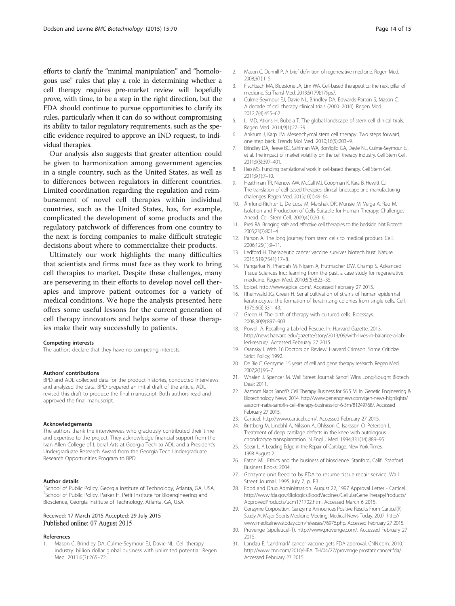<span id="page-13-0"></span>efforts to clarify the "minimal manipulation" and "homologous use" rules that play a role in determining whether a cell therapy requires pre-market review will hopefully prove, with time, to be a step in the right direction, but the FDA should continue to pursue opportunities to clarify its rules, particularly when it can do so without compromising its ability to tailor regulatory requirements, such as the specific evidence required to approve an IND request, to individual therapies.

Our analysis also suggests that greater attention could be given to harmonization among government agencies in a single country, such as the United States, as well as to differences between regulators in different countries. Limited coordination regarding the regulation and reimbursement of novel cell therapies within individual countries, such as the United States, has, for example, complicated the development of some products and the regulatory patchwork of differences from one country to the next is forcing companies to make difficult strategic decisions about where to commercialize their products.

Ultimately our work highlights the many difficulties that scientists and firms must face as they work to bring cell therapies to market. Despite these challenges, many are persevering in their efforts to develop novel cell therapies and improve patient outcomes for a variety of medical conditions. We hope the analysis presented here offers some useful lessons for the current generation of cell therapy innovators and helps some of these therapies make their way successfully to patients.

## Competing interests

The authors declare that they have no competing interests.

## Authors' contributions

BPD and ADL collected data for the product histories, conducted interviews and analyzed the data. BPD prepared an initial draft of the article. ADL revised this draft to produce the final manuscript. Both authors read and approved the final manuscript.

## Acknowledgements

The authors thank the interviewees who graciously contributed their time and expertise to the project. They acknowledge financial support from the Ivan Allen College of Liberal Arts at Georgia Tech to ADL and a President's Undergraduate Research Award from the Georgia Tech Undergraduate Research Opportunities Program to BPD.

### Author details

<sup>1</sup>School of Public Policy, Georgia Institute of Technology, Atlanta, GA, USA. <sup>2</sup>School of Public Policy, Parker H. Petit Institute for Bioengineering and Bioscience, Georgia Institute of Technology, Atlanta, GA, USA.

## Received: 17 March 2015 Accepted: 29 July 2015 Published online: 07 August 2015

### References

Mason C, Brindley DA, Culme-Seymour EJ, Davie NL. Cell therapy industry: billion dollar global business with unlimited potential. Regen Med. 2011;6(3):265–72.

- 2. Mason C, Dunnill P. A brief definition of regenerative medicine. Regen Med. 2008;3(1):1–5.
- 3. Fischbach MA, Bluestone JA, Lim WA. Cell-based therapeutics: the next pillar of medicine. Sci Transl Med. 2013;5(179):179ps7.
- 4. Culme-Seymour EJ, Davie NL, Brindley DA, Edwards-Parton S, Mason C. A decade of cell therapy clinical trials (2000–2010). Regen Med. 2012;7(4):455–62.
- 5. Li MD, Atkins H, Bubela T. The global landscape of stem cell clinical trials. Regen Med. 2014;9(1):27–39.
- 6. Ankrum J, Karp JM. Mesenchymal stem cell therapy: Two steps forward, one step back. Trends Mol Med. 2010;16(5):203–9.
- 7. Brindley DA, Reeve BC, Sahlman WA, Bonfiglio GA, Davie NL, Culme-Seymour EJ, et al. The impact of market volatility on the cell therapy industry. Cell Stem Cell. 2011;9(5):397–401.
- 8. Rao MS. Funding translational work in cell-based therapy. Cell Stem Cell. 2011;9(1):7–10.
- 9. Heathman TR, Nienow AW, McCall MJ, Coopman K, Kara B, Hewitt CJ. The translation of cell-based therapies: clinical landscape and manufacturing challenges. Regen Med. 2015;10(1):49–64.
- 10. Ährlund-Richter L, De Luca M, Marshak DR, Munsie M, Veiga A, Rao M. Isolation and Production of Cells Suitable for Human Therapy: Challenges Ahead. Cell Stem Cell. 2009;4(1):20–6.
- 11. Preti RA. Bringing safe and effective cell therapies to the bedside. Nat Biotech. 2005;23(7):801–4.
- 12. Parson A. The long journey from stem cells to medical product. Cell. 2006;125(1):9–11.
- 13. Ledford H. Therapeutic cancer vaccine survives biotech bust. Nature. 2015;519(7541):17–8.
- 14. Pangarkar N, Pharoah M, Nigam A, Hutmacher DW, Champ S. Advanced Tissue Sciences Inc.: learning from the past, a case study for regenerative medicine. Regen Med. 2010;5(5):823–35.
- 15. Epicel.<http://www.epicel.com/>. Accessed February 27 2015.
- 16. Rheinwald JG, Green H. Serial cultivation of strains of human epidermal keratinocytes: the formation of keratinizing colonies from single cells. Cell. 1975;6(3):331–43.
- 17. Green H. The birth of therapy with cultured cells. Bioessays. 2008;30(9):897–903.
- 18. Powell A. Recalling a Lab-led Rescue. In: Harvard Gazette. 2013. [http://news.harvard.edu/gazette/story/2013/09/with-lives-in-balance-a-lab](http://news.harvard.edu/gazette/story/2013/09/with-lives-in-balance-a-lab-led-rescue/)[led-rescue/](http://news.harvard.edu/gazette/story/2013/09/with-lives-in-balance-a-lab-led-rescue/). Accessed February 27 2015.
- 19. Oransky I. With 16 Doctors on Review. Harvard Crimson: Some Criticize Strict Policy; 1992.
- 20. De Bie C. Genzyme: 15 years of cell and gene therapy research. Regen Med. 2007;2(1):95–7.
- 21. Whalen J. Spencer M. Wall Street Journal: Sanofi Wins Long-Sought Biotech Deal; 2011.
- 22. Aastrom Nabs Sanofi's Cell Therapy Business for \$6.5 M. In: Genetic Engineering & Biotechnology News. 2014. [http://www.genengnews.com/gen-news-highlights/](http://www.genengnews.com/gen-news-highlights/aastrom-nabs-sanofi-s-cell-therapy-business-for-6-5m/81249768/) [aastrom-nabs-sanofi-s-cell-therapy-business-for-6-5m/81249768/.](http://www.genengnews.com/gen-news-highlights/aastrom-nabs-sanofi-s-cell-therapy-business-for-6-5m/81249768/) Accessed February 27 2015.
- 23. Carticel. [http://www.carticel.com/.](http://www.carticel.com/) Accessed February 27 2015.
- 24. Brittberg M, Lindahl A, Nilsson A, Ohlsson C, Isaksson O, Peterson L. Treatment of deep cartilage defects in the knee with autologous chondrocyte transplantation. N Engl J Med. 1994;331(14):889–95.
- 25. Spear L. A Leading Edge in the Repair of Cartilage. New York Times. 1998 August 2.
- 26. Eaton ML. Ethics and the business of bioscience. Stanford, Calif.: Stanford Business Books; 2004.
- 27. Genzyme unit freed to by FDA to resume tissue repair service. Wall Street Journal. 1995 July 7; p. B3.
- 28. Food and Drug Administration. August 22, 1997 Approval Letter Carticel. [http://www.fda.gov/BiologicsBloodVaccines/CellularGeneTherapyProducts/](http://www.fda.gov/BiologicsBloodVaccines/CellularGeneTherapyProducts/ApprovedProducts/ucm171702.htm) [ApprovedProducts/ucm171702.htm](http://www.fda.gov/BiologicsBloodVaccines/CellularGeneTherapyProducts/ApprovedProducts/ucm171702.htm). Accessed March 6 2015.
- 29. Genzyme Corporation. Genzyme Announces Positive Results From Carticel(R) Study At Major Sports Medicine Meeting. Medical News Today. 2007. [http://](http://www.medicalnewstoday.com/releases/76976.php) [www.medicalnewstoday.com/releases/76976.php](http://www.medicalnewstoday.com/releases/76976.php). Accessed February 27 2015.
- 30. Provenge (sipuleucel-T). [http://www.provenge.com/.](http://www.provenge.com/) Accessed February 27 2015.
- 31. Landau E. 'Landmark' cancer vaccine gets FDA approval. CNN.com. 2010. <http://www.cnn.com/2010/HEALTH/04/27/provenge.prostate.cancer.fda/>. Accessed February 27 2015.